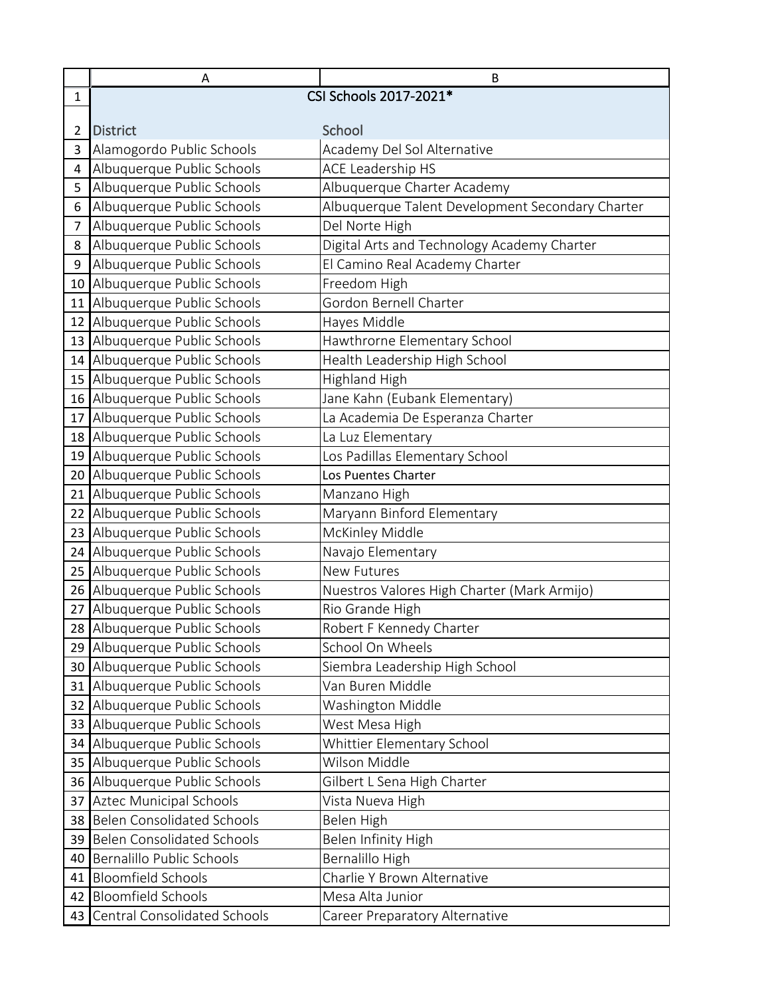|                 | Α                                   | B                                                |
|-----------------|-------------------------------------|--------------------------------------------------|
| $\mathbf{1}$    |                                     | CSI Schools 2017-2021*                           |
|                 |                                     |                                                  |
| 2               | <b>District</b>                     | School                                           |
| 3               | Alamogordo Public Schools           | Academy Del Sol Alternative                      |
| 4               | Albuquerque Public Schools          | ACE Leadership HS                                |
| 5               | Albuquerque Public Schools          | Albuquerque Charter Academy                      |
| 6               | Albuquerque Public Schools          | Albuquerque Talent Development Secondary Charter |
| 7               | Albuquerque Public Schools          | Del Norte High                                   |
| 8               | Albuquerque Public Schools          | Digital Arts and Technology Academy Charter      |
| 9               | Albuquerque Public Schools          | El Camino Real Academy Charter                   |
|                 | 10 Albuquerque Public Schools       | Freedom High                                     |
|                 | 11 Albuquerque Public Schools       | Gordon Bernell Charter                           |
|                 | 12 Albuquerque Public Schools       | Hayes Middle                                     |
|                 | 13 Albuquerque Public Schools       | Hawthrorne Elementary School                     |
|                 | 14 Albuquerque Public Schools       | Health Leadership High School                    |
|                 | 15 Albuquerque Public Schools       | Highland High                                    |
|                 | 16 Albuquerque Public Schools       | Jane Kahn (Eubank Elementary)                    |
| 17 <sup>1</sup> | Albuquerque Public Schools          | La Academia De Esperanza Charter                 |
|                 | 18 Albuquerque Public Schools       | La Luz Elementary                                |
|                 | 19 Albuquerque Public Schools       | Los Padillas Elementary School                   |
|                 | 20 Albuquerque Public Schools       | Los Puentes Charter                              |
|                 | 21 Albuquerque Public Schools       | Manzano High                                     |
|                 | 22 Albuquerque Public Schools       | Maryann Binford Elementary                       |
|                 | 23 Albuquerque Public Schools       | McKinley Middle                                  |
|                 | 24 Albuquerque Public Schools       | Navajo Elementary                                |
| 25              | Albuquerque Public Schools          | <b>New Futures</b>                               |
|                 | 26 Albuquerque Public Schools       | Nuestros Valores High Charter (Mark Armijo)      |
|                 | 27 Albuquerque Public Schools       | Rio Grande High                                  |
|                 | 28 Albuquerque Public Schools       | Robert F Kennedy Charter                         |
|                 | 29 Albuquerque Public Schools       | School On Wheels                                 |
| 30              | Albuquerque Public Schools          | Siembra Leadership High School                   |
|                 | 31 Albuquerque Public Schools       | Van Buren Middle                                 |
|                 | 32 Albuquerque Public Schools       | Washington Middle                                |
|                 | 33 Albuquerque Public Schools       | West Mesa High                                   |
| 34              | Albuquerque Public Schools          | Whittier Elementary School                       |
| 35              | Albuquerque Public Schools          | Wilson Middle                                    |
|                 | 36 Albuquerque Public Schools       | Gilbert L Sena High Charter                      |
| 37              | <b>Aztec Municipal Schools</b>      | Vista Nueva High                                 |
| 38              | <b>Belen Consolidated Schools</b>   | Belen High                                       |
| 39              | <b>Belen Consolidated Schools</b>   | Belen Infinity High                              |
| 40              | Bernalillo Public Schools           | Bernalillo High                                  |
| 41              | <b>Bloomfield Schools</b>           | Charlie Y Brown Alternative                      |
| 42 l            | <b>Bloomfield Schools</b>           | Mesa Alta Junior                                 |
| 43 I            | <b>Central Consolidated Schools</b> | Career Preparatory Alternative                   |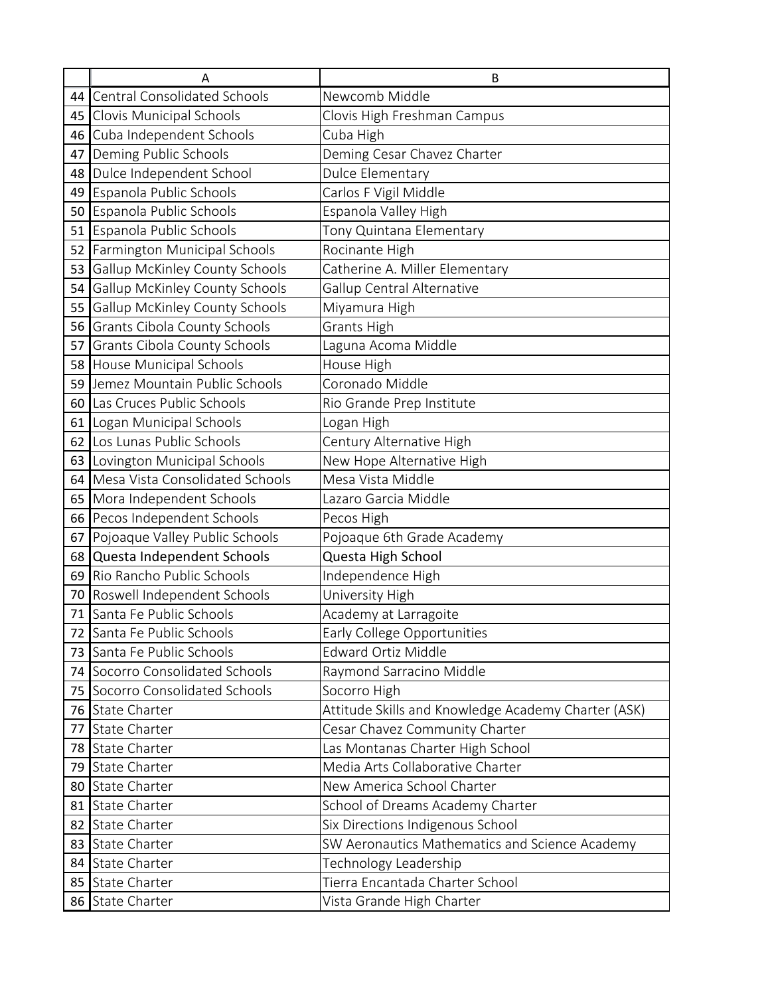|      | А                                     | В                                                   |
|------|---------------------------------------|-----------------------------------------------------|
| 44 I | <b>Central Consolidated Schools</b>   | Newcomb Middle                                      |
| 45   | Clovis Municipal Schools              | Clovis High Freshman Campus                         |
| 46   | Cuba Independent Schools              | Cuba High                                           |
| 47   | Deming Public Schools                 | Deming Cesar Chavez Charter                         |
| 48   | Dulce Independent School              | <b>Dulce Elementary</b>                             |
| 49   | Espanola Public Schools               | Carlos F Vigil Middle                               |
| 50   | Espanola Public Schools               | Espanola Valley High                                |
|      | 51 Espanola Public Schools            | Tony Quintana Elementary                            |
| 52   | Farmington Municipal Schools          | Rocinante High                                      |
| 53   | <b>Gallup McKinley County Schools</b> | Catherine A. Miller Elementary                      |
| 54   | <b>Gallup McKinley County Schools</b> | Gallup Central Alternative                          |
| 55   | Gallup McKinley County Schools        | Miyamura High                                       |
| 56   | Grants Cibola County Schools          | Grants High                                         |
| 57   | Grants Cibola County Schools          | Laguna Acoma Middle                                 |
|      | 58 House Municipal Schools            | House High                                          |
| 59   | Jemez Mountain Public Schools         | Coronado Middle                                     |
| 60   | Las Cruces Public Schools             | Rio Grande Prep Institute                           |
|      | 61 Logan Municipal Schools            | Logan High                                          |
|      | 62 Los Lunas Public Schools           | Century Alternative High                            |
| 63   | Lovington Municipal Schools           | New Hope Alternative High                           |
| 64   | Mesa Vista Consolidated Schools       | Mesa Vista Middle                                   |
| 65   | Mora Independent Schools              | Lazaro Garcia Middle                                |
|      | 66 Pecos Independent Schools          | Pecos High                                          |
| 67   | Pojoaque Valley Public Schools        | Pojoaque 6th Grade Academy                          |
| 68   | Questa Independent Schools            | Questa High School                                  |
| 69   | Rio Rancho Public Schools             | Independence High                                   |
| 70   | Roswell Independent Schools           | University High                                     |
| 71   | Santa Fe Public Schools               | Academy at Larragoite                               |
|      | 72 Santa Fe Public Schools            | Early College Opportunities                         |
|      | 73 Santa Fe Public Schools            | <b>Edward Ortiz Middle</b>                          |
|      | 74 Socorro Consolidated Schools       | Raymond Sarracino Middle                            |
| 75   | Socorro Consolidated Schools          | Socorro High                                        |
| 76   | <b>State Charter</b>                  | Attitude Skills and Knowledge Academy Charter (ASK) |
| 77   | State Charter                         | Cesar Chavez Community Charter                      |
| 78   | <b>State Charter</b>                  | Las Montanas Charter High School                    |
| 79   | State Charter                         | Media Arts Collaborative Charter                    |
| 80   | State Charter                         | New America School Charter                          |
| 81   | <b>State Charter</b>                  | School of Dreams Academy Charter                    |
|      | 82 State Charter                      | Six Directions Indigenous School                    |
|      | 83 State Charter                      | SW Aeronautics Mathematics and Science Academy      |
| 84   | State Charter                         | Technology Leadership                               |
|      | 85 State Charter                      | Tierra Encantada Charter School                     |
|      | 86 State Charter                      | Vista Grande High Charter                           |